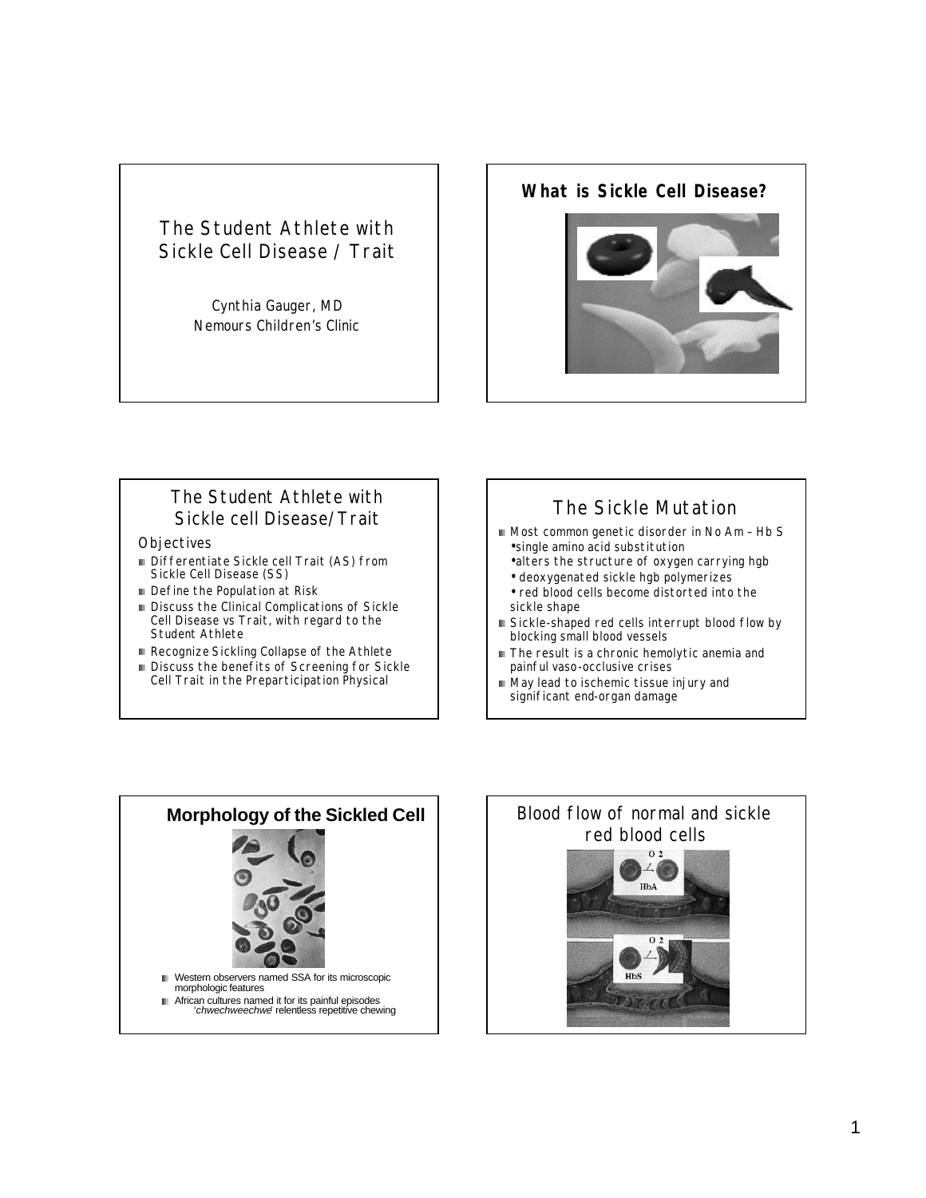# The Student Athlete with Sickle Cell Disease / Trait

Cynthia Gauger, MD Nemours Children's Clinic

#### **What is Sickle Cell Disease?**



#### The Student Athlete with Sickle cell Disease/Trait

#### **Objectives**

- **Differentiate Sickle cell Trait (AS) from** Sickle Cell Disease (SS)
- Define the Population at Risk
- Discuss the Clinical Complications of Sickle Cell Disease vs Trait, with regard to the Student Athlete
- Recognize *Sickling Collapse* of the Athlete
- Discuss the benefits of Screening for Sickle Cell Trait in the Preparticipation Physical

# The Sickle Mutation

- Most common genetic disorder in No Am Hb S •single amino acid substitution
	- •alters the structure of oxygen carrying hgb • deoxygenated sickle hgb polymerizes
	- red blood cells become distorted into the sickle shape
- Sickle-shaped red cells interrupt blood flow by blocking small blood vessels
- The result is a chronic hemolytic anemia and painful vaso-occlusive crises
- May lead to ischemic tissue injury and significant end-organ damage



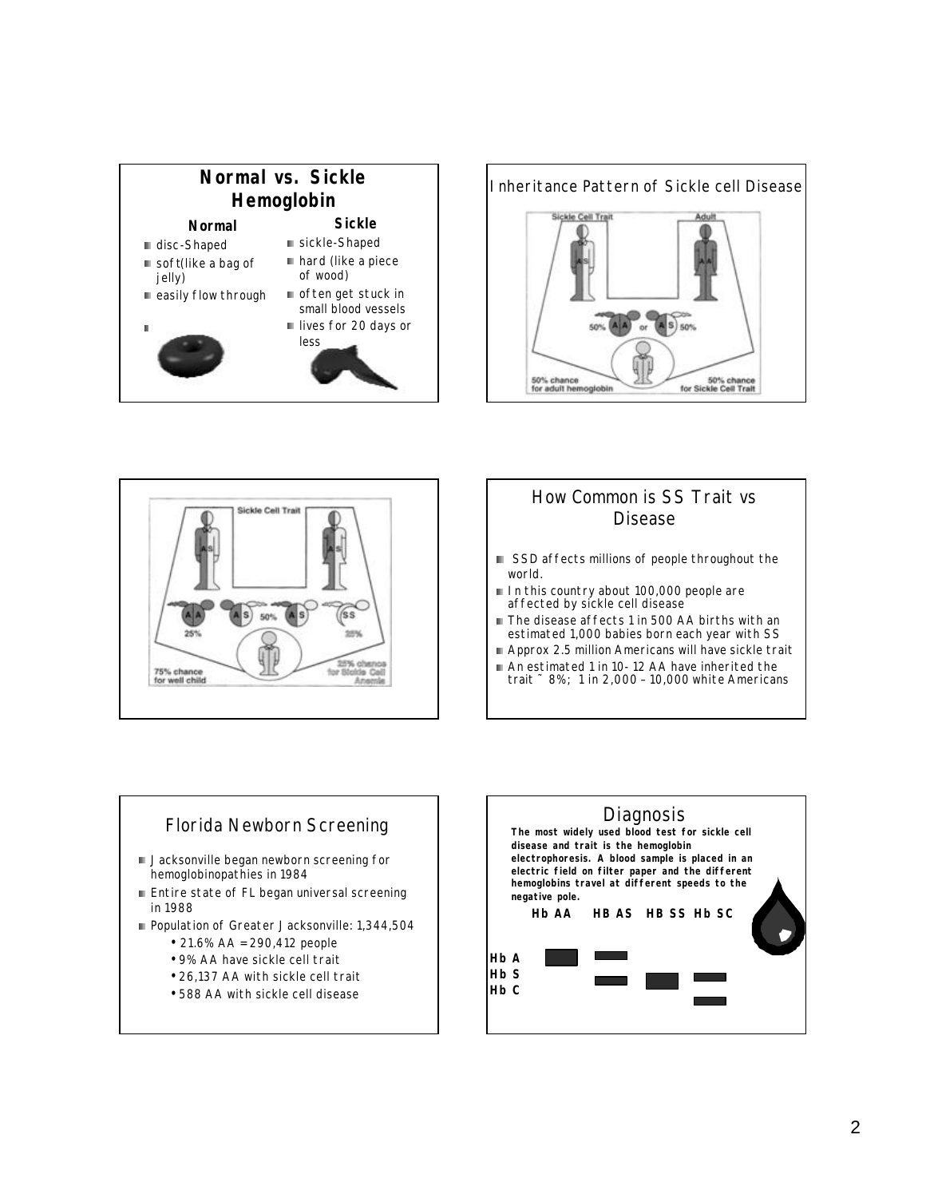#### **Normal vs. Sickle Hemoglobin Normal Sickle**

- disc-Shaped
- soft(like a bag of jelly)
- easily flow through
- 
- hard (like a piece of wood) often get stuck in small blood vessels lives for 20 days or

sickle-Shaped



# Inheritance Pattern of Sickle cell Disease Sickle Cell Trait  $(A|A)$  or  $(A|S)$  50% 50% 50% chance<br>for adult hemoglobin 50% chance<br>for Sickle Cell Trait



# How Common is SS Trait vs Disease

- SSD affects millions of people throughout the world.
- In this country about 100,000 people are affected by sickle cell disease
- The disease affects 1 in 500 AA births with an estimated 1,000 babies born each year with SS
- Approx 2.5 million Americans will have sickle trait
- An estimated 1 in 10-12 AA have inherited the trait ˜ 8%; 1 in 2,000 – 10,000 white Americans

#### Florida Newborn Screening **Jacksonville began newborn screening for** hemoglobinopathies in 1984 **Entire state of FL began universal screening** in 1988 Population of Greater Jacksonville: 1,344,504 • 21.6% AA = 290,412 people • 9% AA have sickle cell trait

- 
- 26,137 AA with sickle cell trait
- 588 AA with sickle cell disease

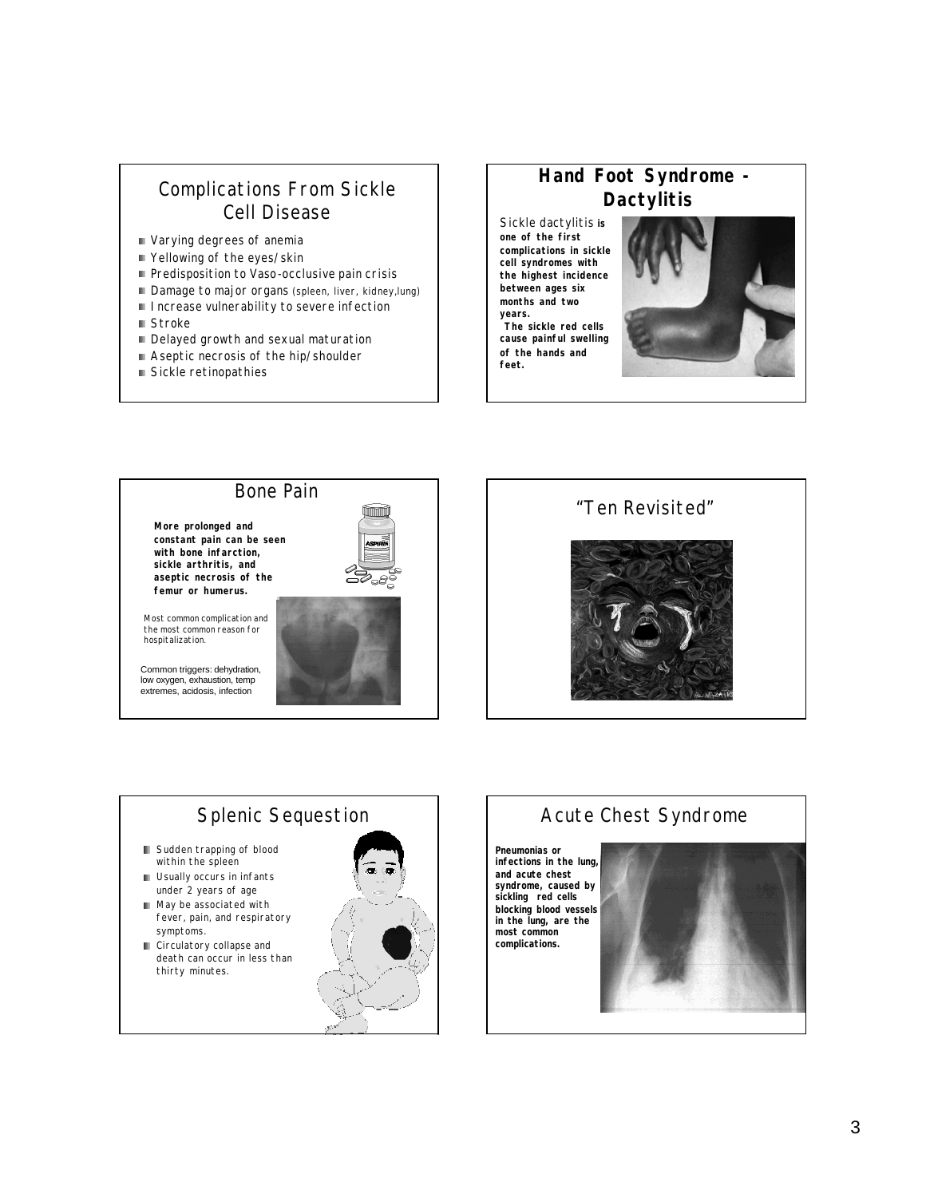# Complications From Sickle Cell Disease

- Varying degrees of anemia
- Yellowing of the eyes/skin
- Predisposition to Vaso-occlusive pain crisis
- Damage to major organs (spleen, liver, kidney, lung)
- **Increase vulnerability to severe infection**
- Stroke
- Delayed growth and sexual maturation
- Aseptic necrosis of the hip/shoulder
- Sickle retinopathies

# **Hand Foot Syndrome - Dactylitis**

Sickle dactylitis **is one of the first complications in sickle cell syndromes with the highest incidence between ages six months and two years. The sickle red cells cause painful swelling of the hands and feet.**



### Bone Pain

**More prolonged and constant pain can be seen with bone infarction, sickle arthritis, and aseptic necrosis of the femur or humerus.** 

Most common complication and the most common reason for hospitalization.

Common triggers: dehydration, low oxygen, exhaustion, temp extremes, acidosis, infection





# Splenic Sequestion

- **B** Sudden trapping of blood within the spleen
- **Usually occurs in infants** under 2 years of age
- May be associated with fever, pain, and respiratory symptoms.
- **Circulatory collapse and** death can occur in less than thirty minutes.



# Acute Chest Syndrome

**Pneumonias or infections in the lung, and acute chest syndrome, caused by sickling red cells blocking blood vessels in the lung, are the most common complications.** 

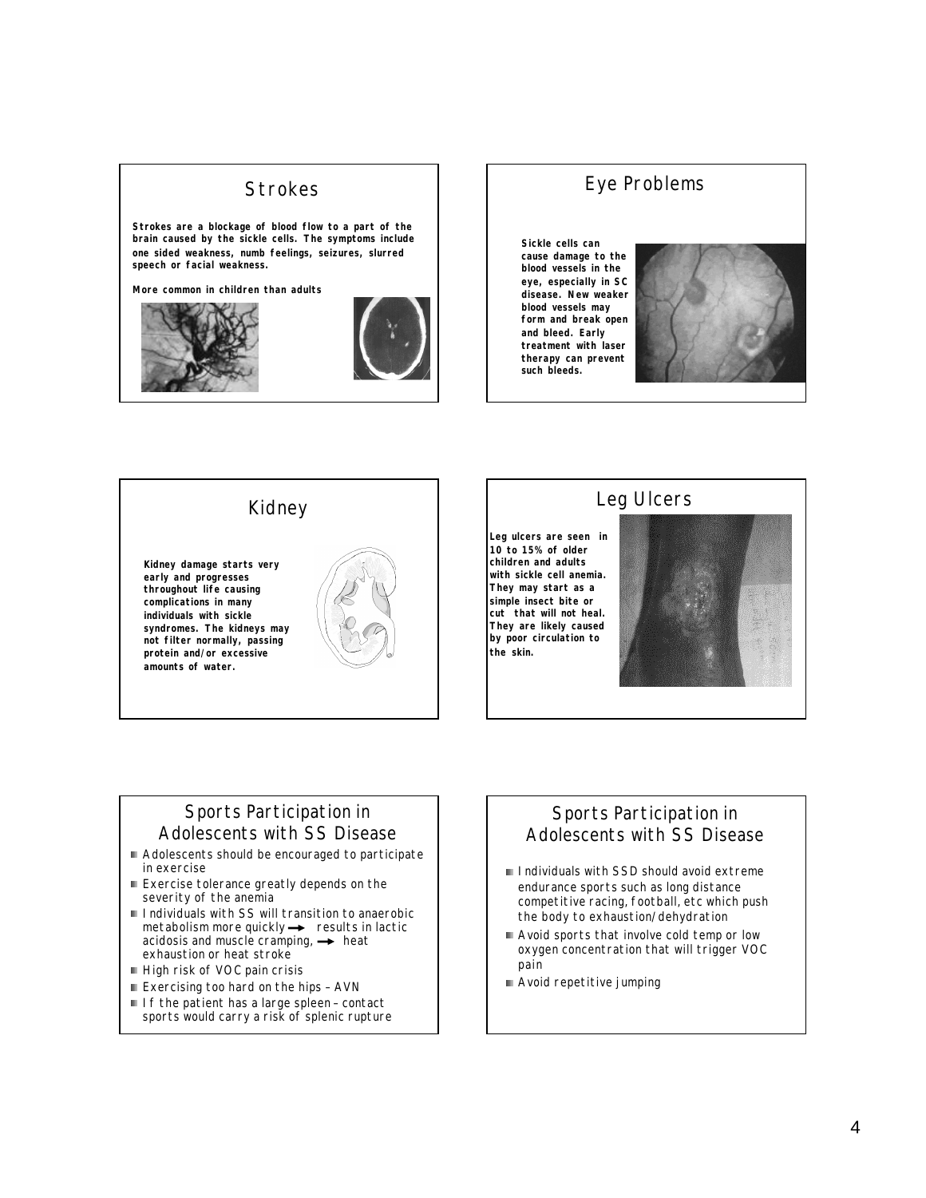## **Strokes**

**Strokes are a blockage of blood flow to a part of the brain caused by the sickle cells. The symptoms include one sided weakness, numb feelings, seizures, slurred speech or facial weakness.** 

**More common in children than adults**





# Eye Problems

**Sickle cells can cause damage to the blood vessels in the eye, especially in SC disease. New weaker blood vessels may form and break open and bleed. Early treatment with laser therapy can prevent such bleeds.**



# Kidney **Kidney damage starts very early and progresses throughout life causing complications in many individuals with sickle syndromes. The kidneys may not filter normally, passing protein and/or excessive amounts of water.**

#### Leg Ulcers

**Leg ulcers are seen in 10 to 15% of older children and adults with sickle cell anemia. They may start as a simple insect bite or cut that will not heal. They are likely caused by poor circulation to the skin.**



#### Sports Participation in Adolescents with SS Disease

- Adolescents should be encouraged to participate in exercise
- Exercise tolerance greatly depends on the severity of the anemia
- Individuals with SS will transition to anaerobic  $metabolism more quickly  $\rightarrow$  results in lactic$ acidosis and muscle cramping,  $\rightarrow$  heat exhaustion or heat stroke
- High risk of VOC pain crisis
- Exercising too hard on the hips AVN
- If the patient has a large spleen contact sports would carry a risk of splenic rupture

#### Sports Participation in Adolescents with SS Disease

- Individuals with SSD should avoid extreme endurance sports such as long distance competitive racing, football, etc which push the body to exhaustion/dehydration
- Avoid sports that involve cold temp or low oxygen concentration that will trigger VOC pain
- Avoid repetitive jumping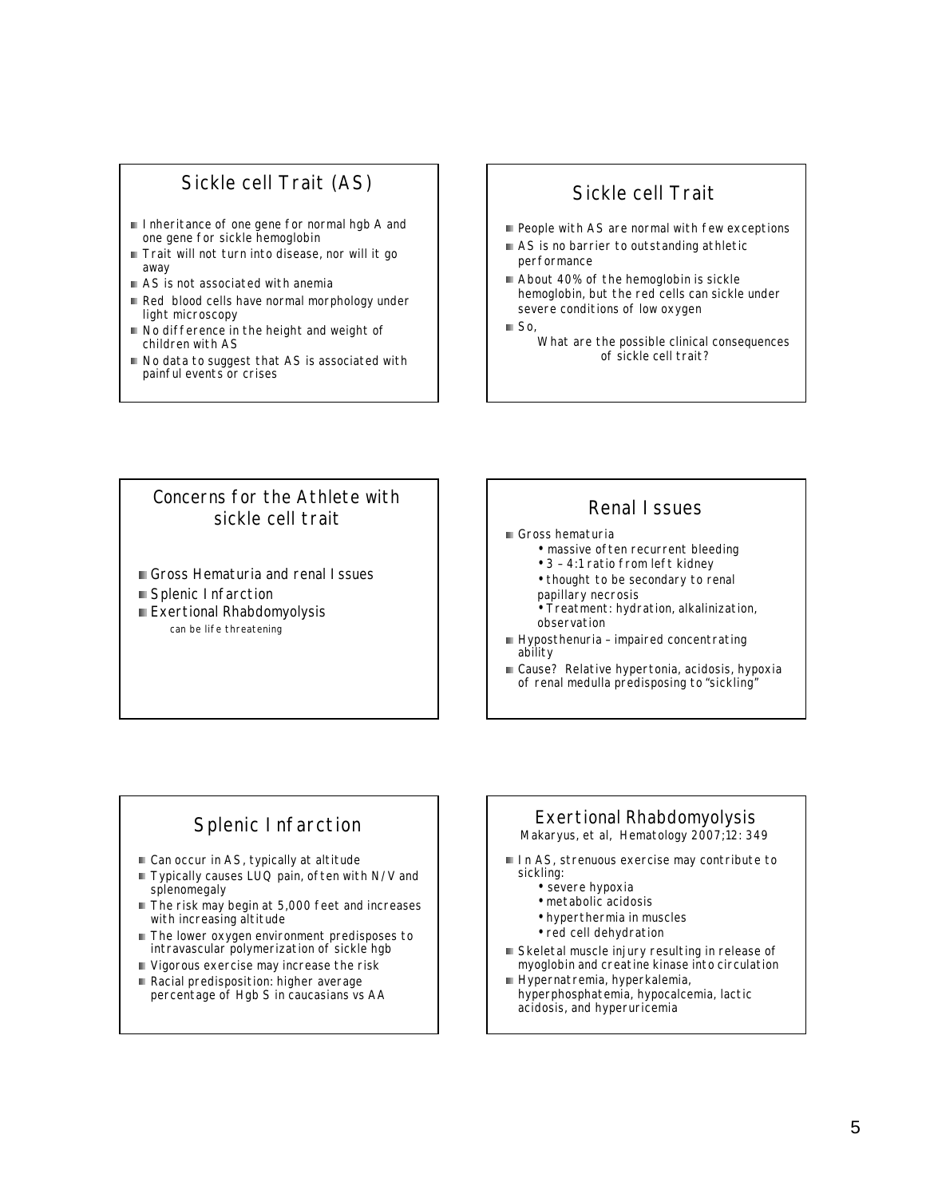# Sickle cell Trait (AS)

- Inheritance of one gene for normal hgb A and one gene for sickle hemoglobin
- Trait will not turn into disease, nor will it go away
- AS is not associated with anemia
- Red blood cells have normal morphology under light microscopy
- No difference in the height and weight of children with AS
- No data to suggest that AS is associated with painful events or crises

# Sickle cell Trait

- People with AS are normal with few exceptions
- AS is no barrier to outstanding athletic performance
- About 40% of the hemoglobin is sickle hemoglobin, but the red cells can sickle under severe conditions of low oxygen
- $\blacksquare$  So,
	- What are the possible clinical consequences of sickle cell trait?

#### Concerns for the Athlete with sickle cell trait

- Gross Hematuria and renal Issues
- Splenic Infarction
- **Exertional Rhabdomyolysis** can be life threatening

# Renal Issues

- Gross hematuria
	- massive often recurrent bleeding
		- 3 4:1 ratio from left kidney
		- thought to be secondary to renal
	- papillary necrosis
	- Treatment: hydration, alkalinization, observation
- Hyposthenuria impaired concentrating ability
- Cause? Relative hypertonia, acidosis, hypoxia of renal medulla predisposing to "sickling"

# Splenic Infarction

- Can occur in AS, typically at altitude
- Typically causes LUQ pain, often with N/V and splenomegaly
- The risk may begin at 5,000 feet and increases with increasing altitude
- The lower oxygen environment predisposes to intravascular polymerization of sickle hgb
- Vigorous exercise may increase the risk
- Racial predisposition: higher average percentage of Hgb S in caucasians vs AA

#### Exertional Rhabdomyolysis Makaryus, et al, Hematology 2007;12: 349

In AS, strenuous exercise may contribute to sickling:

- severe hypoxia
- metabolic acidosis
- hyperthermia in muscles
- red cell dehydration
- Skeletal muscle injury resulting in release of myoglobin and creatine kinase into circulation
- Hypernatremia, hyperkalemia, hyperphosphatemia, hypocalcemia, lactic acidosis, and hyperuricemia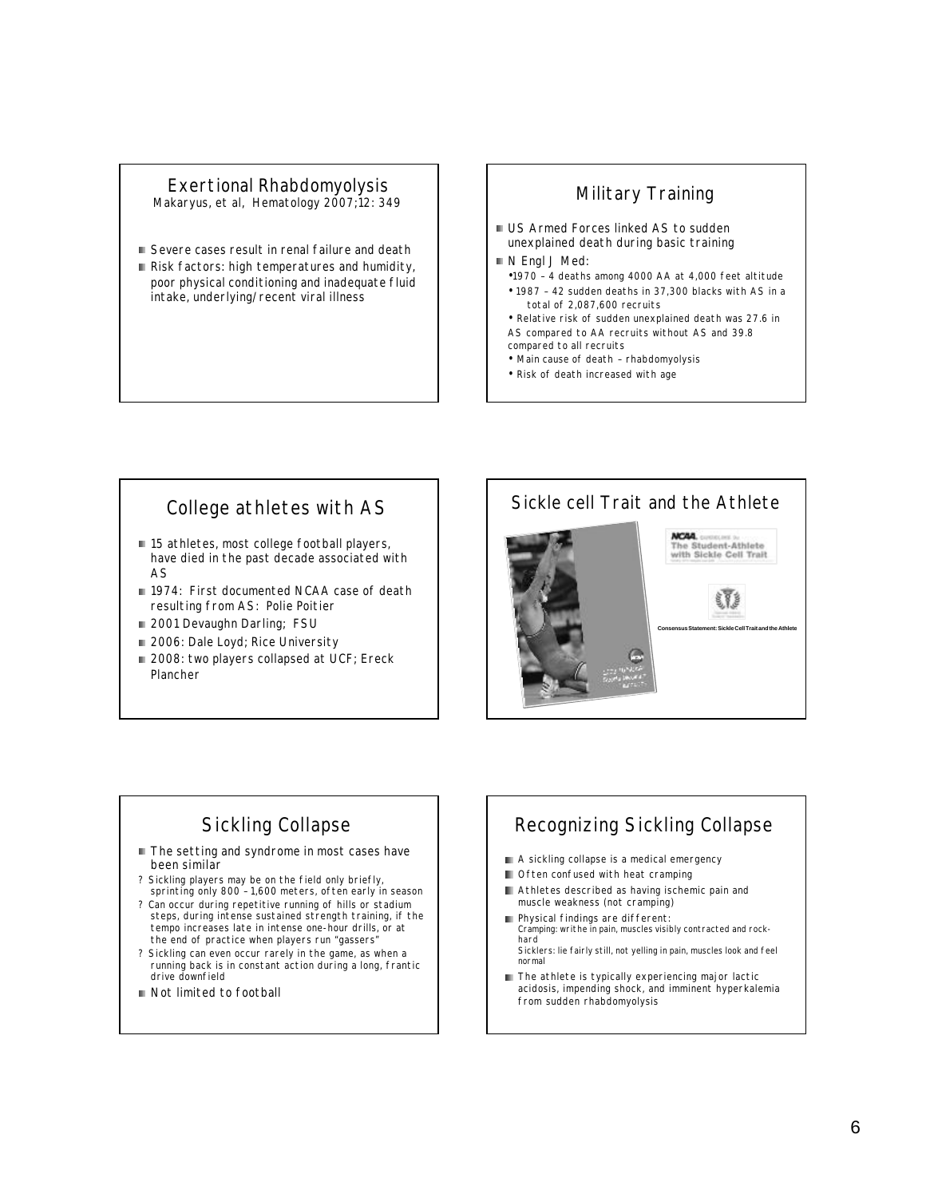## Exertional Rhabdomyolysis

Makaryus, et al, Hematology 2007;12: 349

- Severe cases result in renal failure and death
- Risk factors: high temperatures and humidity, poor physical conditioning and inadequate fluid intake, underlying/recent viral illness

# Military Training

- **US Armed Forces linked AS to sudden** unexplained death during basic training
- N Engl J Med:
	- •1970 4 deaths among 4000 AA at 4,000 feet altitude
	- 1987 42 sudden deaths in 37,300 blacks with AS in a total of 2,087,600 recruits
- Relative risk of sudden unexplained death was 27.6 in AS compared to AA recruits without AS and 39.8 compared to all recruits
- Main cause of death rhabdomyolysis
- Risk of death increased with age

# College athletes with AS

- 15 athletes, most college football players, have died in the past decade associated with AS
- 1974: First documented NCAA case of death resulting from AS: Polie Poitier
- 2001 Devaughn Darling; FSU
- 2006: Dale Loyd; Rice University
- 2008: two players collapsed at UCF; Ereck Plancher



# Sickling Collapse

- The setting and syndrome in most cases have been similar
- ? Sickling players may be on the field only briefly, sprinting only 800 – 1,600 meters, often early in season
- ? Can occur during repetitive running of hills or stadium steps, during intense sustained strength training, if the tempo increases late in intense one-hour drills, or at the end of practice when players run "gassers"
- ? Sickling can even occur rarely in the game, as when a running back is in constant action during a long, frantic drive downfield
- Not limited to football

# Recognizing Sickling Collapse

- A sickling collapse is a medical emergency
- Often confused with heat cramping
- **Athletes described as having ischemic pain and** muscle weakness (not cramping)
- Physical findings are different: m. Cramping: writhe in pain, muscles visibly contracted and rockhard Sicklers: lie fairly still, not yelling in pain, muscles look and feel normal
- The athlete is typically experiencing major lactic acidosis, impending shock, and imminent hyperkalemia from sudden rhabdomyolysis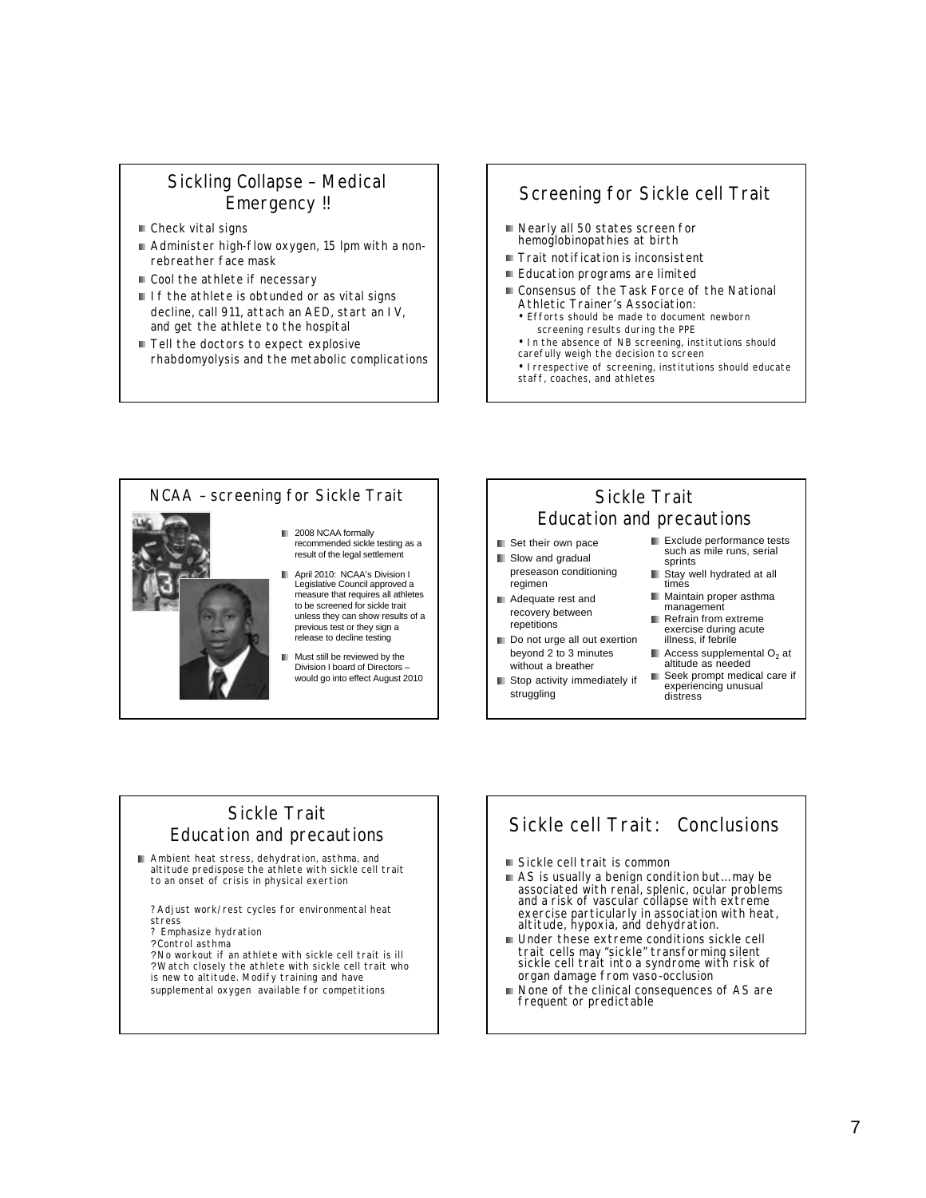#### Sickling Collapse – Medical Emergency !!

- Check vital signs
- Administer high-flow oxygen, 15 lpm with a nonrebreather face mask
- Cool the athlete if necessary
- If the athlete is obtunded or as vital signs decline, call 911, attach an AED, start an IV, and get the athlete to the hospital
- Tell the doctors to expect explosive rhabdomyolysis and the metabolic complications

#### Screening for Sickle cell Trait

- Nearly all 50 states screen for hemoglobinopathies at birth
- Trait notification is inconsistent
- Education programs are limited
- Consensus of the Task Force of the National Athletic Trainer's Association:
	- Efforts should be made to document newborn screening results during the PPE
	- In the absence of NB screening, institutions should carefully weigh the decision to screen
	- Irrespective of screening, institutions should educate staff, coaches, and athletes



#### Sickle Trait Education and precautions

- Set their own pace
- Slow and gradual preseason conditioning regimen
- **Adequate rest and** recovery between repetitions
- Do not urge all out exertion beyond 2 to 3 minutes without a breather
- Stop activity immediately if struggling
- **Exclude performance tests** such as mile runs, serial sprints
- Stay well hydrated at all times
- **Maintain proper asthma** management Refrain from extreme
- exercise during acute illness, if febrile
- $\blacksquare$  Access supplemental  $O<sub>2</sub>$  at altitude as needed
- Seek prompt medical care if experiencing unusual distress

## Sickle Trait Education and precautions

Ambient heat stress, dehydration, asthma, and altitude predispose the athlete with sickle cell trait to an onset of crisis in physical exertion

?Adjust work/rest cycles for environmental heat stress

- ? Emphasize hydration
- ?Control asthma

?No workout if an athlete with sickle cell trait is ill ?Watch closely the athlete with sickle cell trait who is new to altitude. Modify training and have supplemental oxygen available for competitions

# Sickle cell Trait: Conclusions

- Sickle cell trait is common
- AS is usually a benign condition but... may be associated with renal, splenic, ocular problems and a risk of vascular collapse with extreme exercise particularly in association with heat, altitude, hypoxia, and dehydration.
- Under these extreme conditions sickle cell trait cells may "sickle" transforming silent sickle cell trait into a syndrome with risk of organ damage from vaso-occlusion
- None of the clinical consequences of AS are m. frequent or predictable